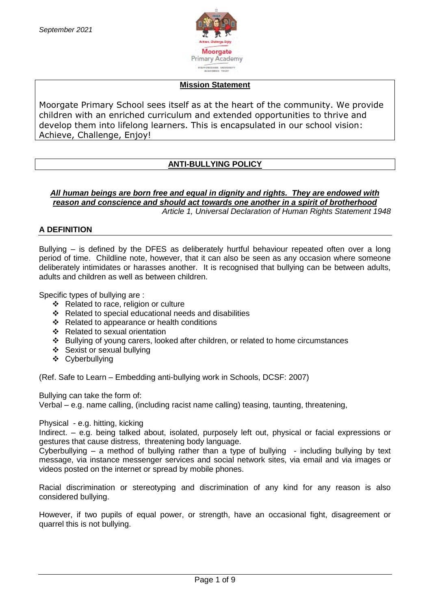

### **Mission Statement**

Moorgate Primary School sees itself as at the heart of the community. We provide children with an enriched curriculum and extended opportunities to thrive and develop them into lifelong learners. This is encapsulated in our school vision: Achieve, Challenge, Enjoy!

# **ANTI-BULLYING POLICY**

*All human beings are born free and equal in dignity and rights. They are endowed with reason and conscience and should act towards one another in a spirit of brotherhood Article 1, Universal Declaration of Human Rights Statement 1948*

# **A DEFINITION**

Bullying – is defined by the DFES as deliberately hurtful behaviour repeated often over a long period of time. Childline note, however, that it can also be seen as any occasion where someone deliberately intimidates or harasses another. It is recognised that bullying can be between adults, adults and children as well as between children.

Specific types of bullying are :

- ❖ Related to race, religion or culture
- Related to special educational needs and disabilities
- ❖ Related to appearance or health conditions
- ❖ Related to sexual orientation
- Bullying of young carers, looked after children, or related to home circumstances
- Sexist or sexual bullying
- Cyberbullying

(Ref. Safe to Learn – Embedding anti-bullying work in Schools, DCSF: 2007)

Bullying can take the form of:

Verbal – e.g. name calling, (including racist name calling) teasing, taunting, threatening,

Physical - e.g. hitting, kicking

Indirect. – e.g. being talked about, isolated, purposely left out, physical or facial expressions or gestures that cause distress, threatening body language.

Cyberbullying – a method of bullying rather than a type of bullying  $-$  including bullying by text message, via instance messenger services and social network sites, via email and via images or videos posted on the internet or spread by mobile phones.

Racial discrimination or stereotyping and discrimination of any kind for any reason is also considered bullying.

However, if two pupils of equal power, or strength, have an occasional fight, disagreement or quarrel this is not bullying.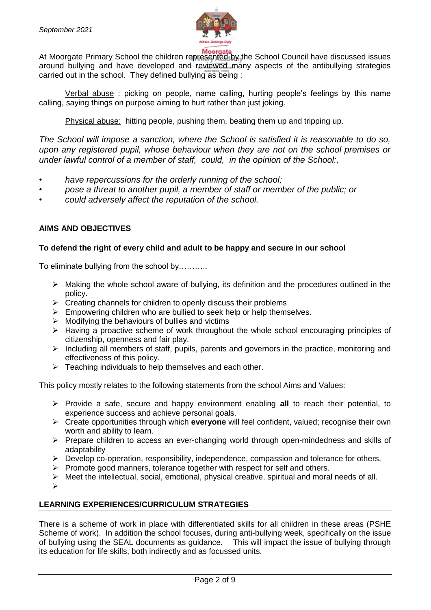

At Moorgate<br>At Moorgate Primary School the children represented by the School Council have discussed issues around bullying and have developed and reviewed many aspects of the antibullying strategies carried out in the school. They defined bullying as being :

Verbal abuse : picking on people, name calling, hurting people's feelings by this name calling, saying things on purpose aiming to hurt rather than just joking.

Physical abuse: hitting people, pushing them, beating them up and tripping up.

*The School will impose a sanction, where the School is satisfied it is reasonable to do so, upon any registered pupil, whose behaviour when they are not on the school premises or under lawful control of a member of staff, could, in the opinion of the School:,*

- *• have repercussions for the orderly running of the school;*
- *• pose a threat to another pupil, a member of staff or member of the public; or*
- *• could adversely affect the reputation of the school.*

# **AIMS AND OBJECTIVES**

#### **To defend the right of every child and adult to be happy and secure in our school**

To eliminate bullying from the school by………..

- $\triangleright$  Making the whole school aware of bullying, its definition and the procedures outlined in the policy.
- $\triangleright$  Creating channels for children to openly discuss their problems
- $\triangleright$  Empowering children who are bullied to seek help or help themselves.
- $\triangleright$  Modifying the behaviours of bullies and victims
- $\triangleright$  Having a proactive scheme of work throughout the whole school encouraging principles of citizenship, openness and fair play.
- $\triangleright$  Including all members of staff, pupils, parents and governors in the practice, monitoring and effectiveness of this policy.
- $\triangleright$  Teaching individuals to help themselves and each other.

This policy mostly relates to the following statements from the school Aims and Values:

- Provide a safe, secure and happy environment enabling **all** to reach their potential, to experience success and achieve personal goals.
- Create opportunities through which **everyone** will feel confident, valued; recognise their own worth and ability to learn.
- $\triangleright$  Prepare children to access an ever-changing world through open-mindedness and skills of adaptability
- Develop co-operation, responsibility, independence, compassion and tolerance for others.
- $\triangleright$  Promote good manners, tolerance together with respect for self and others.
- $\triangleright$  Meet the intellectual, social, emotional, physical creative, spiritual and moral needs of all.
- $\blacktriangleright$

### **LEARNING EXPERIENCES/CURRICULUM STRATEGIES**

There is a scheme of work in place with differentiated skills for all children in these areas (PSHE Scheme of work). In addition the school focuses, during anti-bullying week, specifically on the issue of bullying using the SEAL documents as guidance. This will impact the issue of bullying through its education for life skills, both indirectly and as focussed units.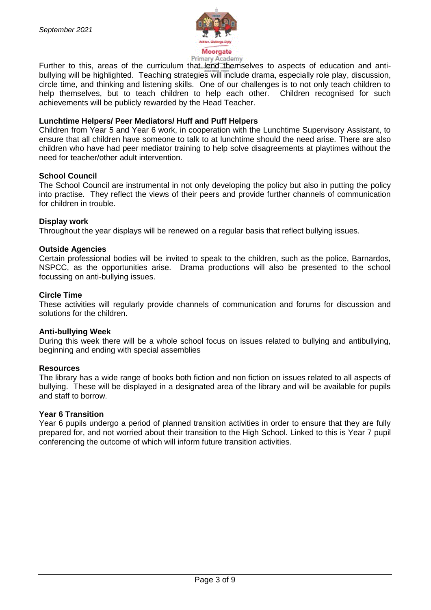

Frimary Academy<br>Further to this, areas of the curriculum that lend themselves to aspects of education and antibullying will be highlighted. Teaching strategies will include drama, especially role play, discussion, circle time, and thinking and listening skills. One of our challenges is to not only teach children to help themselves, but to teach children to help each other. Children recognised for such achievements will be publicly rewarded by the Head Teacher.

#### **Lunchtime Helpers/ Peer Mediators/ Huff and Puff Helpers**

Children from Year 5 and Year 6 work, in cooperation with the Lunchtime Supervisory Assistant, to ensure that all children have someone to talk to at lunchtime should the need arise. There are also children who have had peer mediator training to help solve disagreements at playtimes without the need for teacher/other adult intervention.

#### **School Council**

The School Council are instrumental in not only developing the policy but also in putting the policy into practise. They reflect the views of their peers and provide further channels of communication for children in trouble.

#### **Display work**

Throughout the year displays will be renewed on a regular basis that reflect bullying issues.

#### **Outside Agencies**

Certain professional bodies will be invited to speak to the children, such as the police, Barnardos, NSPCC, as the opportunities arise. Drama productions will also be presented to the school focussing on anti-bullying issues.

#### **Circle Time**

These activities will regularly provide channels of communication and forums for discussion and solutions for the children.

#### **Anti-bullying Week**

During this week there will be a whole school focus on issues related to bullying and antibullying, beginning and ending with special assemblies

#### **Resources**

The library has a wide range of books both fiction and non fiction on issues related to all aspects of bullying. These will be displayed in a designated area of the library and will be available for pupils and staff to borrow.

#### **Year 6 Transition**

Year 6 pupils undergo a period of planned transition activities in order to ensure that they are fully prepared for, and not worried about their transition to the High School. Linked to this is Year 7 pupil conferencing the outcome of which will inform future transition activities.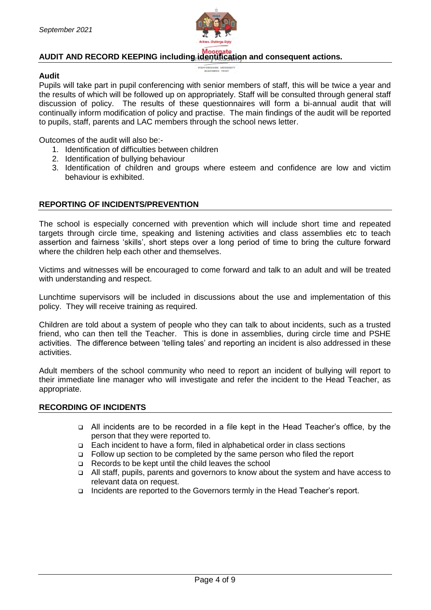

# **AUDIT AND RECORD KEEPING including identification and consequent actions.**

#### **Audit**

Pupils will take part in pupil conferencing with senior members of staff, this will be twice a year and the results of which will be followed up on appropriately. Staff will be consulted through general staff discussion of policy. The results of these questionnaires will form a bi-annual audit that will continually inform modification of policy and practise. The main findings of the audit will be reported to pupils, staff, parents and LAC members through the school news letter.

Outcomes of the audit will also be:-

- 1. Identification of difficulties between children
- 2. Identification of bullying behaviour
- 3. Identification of children and groups where esteem and confidence are low and victim behaviour is exhibited.

#### **REPORTING OF INCIDENTS/PREVENTION**

The school is especially concerned with prevention which will include short time and repeated targets through circle time, speaking and listening activities and class assemblies etc to teach assertion and fairness 'skills', short steps over a long period of time to bring the culture forward where the children help each other and themselves.

Victims and witnesses will be encouraged to come forward and talk to an adult and will be treated with understanding and respect.

Lunchtime supervisors will be included in discussions about the use and implementation of this policy. They will receive training as required.

Children are told about a system of people who they can talk to about incidents, such as a trusted friend, who can then tell the Teacher. This is done in assemblies, during circle time and PSHE activities. The difference between 'telling tales' and reporting an incident is also addressed in these activities.

Adult members of the school community who need to report an incident of bullying will report to their immediate line manager who will investigate and refer the incident to the Head Teacher, as appropriate.

#### **RECORDING OF INCIDENTS**

- All incidents are to be recorded in a file kept in the Head Teacher's office, by the person that they were reported to.
- Each incident to have a form, filed in alphabetical order in class sections
- □ Follow up section to be completed by the same person who filed the report
- Records to be kept until the child leaves the school
- All staff, pupils, parents and governors to know about the system and have access to relevant data on request.
- Incidents are reported to the Governors termly in the Head Teacher's report.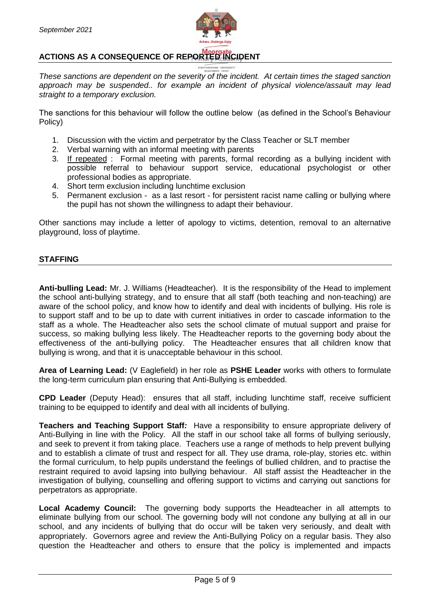

# **ACTIONS AS A CONSEQUENCE OF REPORTED INCIDENT**

*These sanctions are dependent on the severity of the incident. At certain times the staged sanction approach may be suspended.. for example an incident of physical violence/assault may lead straight to a temporary exclusion.*

The sanctions for this behaviour will follow the outline below (as defined in the School's Behaviour Policy)

- 1. Discussion with the victim and perpetrator by the Class Teacher or SLT member
- 2. Verbal warning with an informal meeting with parents
- 3. If repeated : Formal meeting with parents, formal recording as a bullying incident with possible referral to behaviour support service, educational psychologist or other professional bodies as appropriate.
- 4. Short term exclusion including lunchtime exclusion
- 5. Permanent exclusion as a last resort for persistent racist name calling or bullying where the pupil has not shown the willingness to adapt their behaviour.

Other sanctions may include a letter of apology to victims, detention, removal to an alternative playground, loss of playtime.

### **STAFFING**

**Anti-bulling Lead:** Mr. J. Williams (Headteacher). It is the responsibility of the Head to implement the school anti-bullying strategy, and to ensure that all staff (both teaching and non-teaching) are aware of the school policy, and know how to identify and deal with incidents of bullying. His role is to support staff and to be up to date with current initiatives in order to cascade information to the staff as a whole. The Headteacher also sets the school climate of mutual support and praise for success, so making bullying less likely. The Headteacher reports to the governing body about the effectiveness of the anti-bullying policy. The Headteacher ensures that all children know that bullying is wrong, and that it is unacceptable behaviour in this school.

**Area of Learning Lead:** (V Eaglefield) in her role as **PSHE Leader** works with others to formulate the long-term curriculum plan ensuring that Anti-Bullying is embedded.

**CPD Leader** (Deputy Head): ensures that all staff, including lunchtime staff, receive sufficient training to be equipped to identify and deal with all incidents of bullying.

**Teachers and Teaching Support Staff**; Have a responsibility to ensure appropriate delivery of Anti-Bullying in line with the Policy. All the staff in our school take all forms of bullying seriously, and seek to prevent it from taking place. Teachers use a range of methods to help prevent bullying and to establish a climate of trust and respect for all. They use drama, role-play, stories etc. within the formal curriculum, to help pupils understand the feelings of bullied children, and to practise the restraint required to avoid lapsing into bullying behaviour. All staff assist the Headteacher in the investigation of bullying, counselling and offering support to victims and carrying out sanctions for perpetrators as appropriate.

**Local Academy Council:** The governing body supports the Headteacher in all attempts to eliminate bullying from our school. The governing body will not condone any bullying at all in our school, and any incidents of bullying that do occur will be taken very seriously, and dealt with appropriately. Governors agree and review the Anti-Bullying Policy on a regular basis. They also question the Headteacher and others to ensure that the policy is implemented and impacts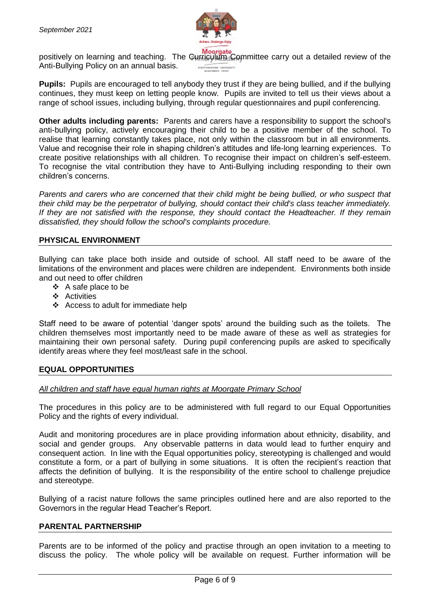

Anti-Bullying Policy on an annual basis.

positively on learning and teaching. The Gurriculum Committee carry out a detailed review of the

**Pupils:** Pupils are encouraged to tell anybody they trust if they are being bullied, and if the bullying continues, they must keep on letting people know. Pupils are invited to tell us their views about a range of school issues, including bullying, through regular questionnaires and pupil conferencing.

**Other adults including parents:** Parents and carers have a responsibility to support the school's anti-bullying policy, actively encouraging their child to be a positive member of the school. To realise that learning constantly takes place, not only within the classroom but in all environments. Value and recognise their role in shaping children's attitudes and life-long learning experiences. To create positive relationships with all children. To recognise their impact on children's self-esteem. To recognise the vital contribution they have to Anti-Bullying including responding to their own children's concerns.

*Parents and carers who are concerned that their child might be being bullied, or who suspect that their child may be the perpetrator of bullying, should contact their child's class teacher immediately. If they are not satisfied with the response, they should contact the Headteacher. If they remain dissatisfied, they should follow the school's complaints procedure.* 

# **PHYSICAL ENVIRONMENT**

Bullying can take place both inside and outside of school. All staff need to be aware of the limitations of the environment and places were children are independent. Environments both inside and out need to offer children

- $\div$  A safe place to be
- $\triangle$  Activities
- ❖ Access to adult for immediate help

Staff need to be aware of potential 'danger spots' around the building such as the toilets. The children themselves most importantly need to be made aware of these as well as strategies for maintaining their own personal safety. During pupil conferencing pupils are asked to specifically identify areas where they feel most/least safe in the school.

### **EQUAL OPPORTUNITIES**

### *All children and staff have equal human rights at Moorgate Primary School*

The procedures in this policy are to be administered with full regard to our Equal Opportunities Policy and the rights of every individual.

Audit and monitoring procedures are in place providing information about ethnicity, disability, and social and gender groups. Any observable patterns in data would lead to further enquiry and consequent action. In line with the Equal opportunities policy, stereotyping is challenged and would constitute a form, or a part of bullying in some situations. It is often the recipient's reaction that affects the definition of bullying. It is the responsibility of the entire school to challenge prejudice and stereotype.

Bullying of a racist nature follows the same principles outlined here and are also reported to the Governors in the regular Head Teacher's Report.

### **PARENTAL PARTNERSHIP**

Parents are to be informed of the policy and practise through an open invitation to a meeting to discuss the policy. The whole policy will be available on request. Further information will be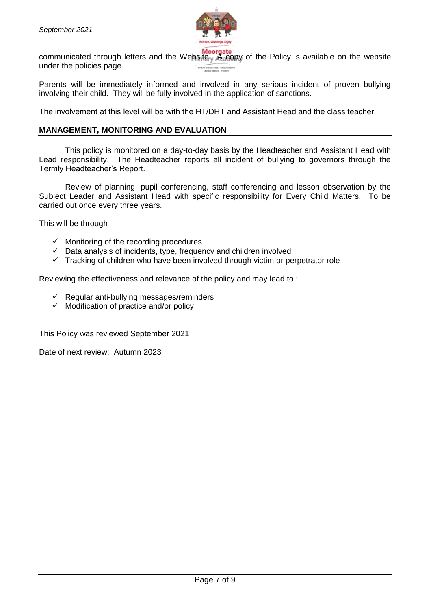

communicated through letters and the Website. Moorgate<br>communicated through letters and the Website. A copy of the Policy is available on the website under the policies page.

Parents will be immediately informed and involved in any serious incident of proven bullying involving their child. They will be fully involved in the application of sanctions.

The involvement at this level will be with the HT/DHT and Assistant Head and the class teacher.

### **MANAGEMENT, MONITORING AND EVALUATION**

This policy is monitored on a day-to-day basis by the Headteacher and Assistant Head with Lead responsibility. The Headteacher reports all incident of bullying to governors through the Termly Headteacher's Report.

Review of planning, pupil conferencing, staff conferencing and lesson observation by the Subject Leader and Assistant Head with specific responsibility for Every Child Matters. To be carried out once every three years.

This will be through

- $\checkmark$  Monitoring of the recording procedures
- $\checkmark$  Data analysis of incidents, type, frequency and children involved
- $\checkmark$  Tracking of children who have been involved through victim or perpetrator role

Reviewing the effectiveness and relevance of the policy and may lead to :

- $\checkmark$  Regular anti-bullying messages/reminders
- $\checkmark$  Modification of practice and/or policy

This Policy was reviewed September 2021

Date of next review: Autumn 2023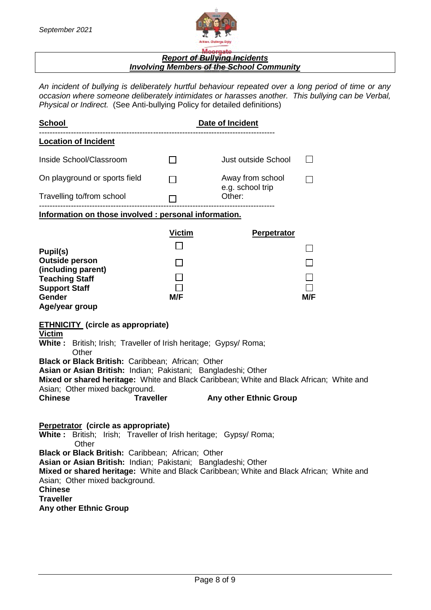

### *Report of Bullying Incidents Involving Members of the School Community*

*An incident of bullying is deliberately hurtful behaviour repeated over a long period of time or any occasion where someone deliberately intimidates or harasses another. This bullying can be Verbal, Physical or Indirect.* (See Anti-bullying Policy for detailed definitions)

| <b>School</b>                                                                                                                                                                                                                                                                                                                                                                                                                                     |                      | Date of Incident                     |     |  |
|---------------------------------------------------------------------------------------------------------------------------------------------------------------------------------------------------------------------------------------------------------------------------------------------------------------------------------------------------------------------------------------------------------------------------------------------------|----------------------|--------------------------------------|-----|--|
| <b>Location of Incident</b>                                                                                                                                                                                                                                                                                                                                                                                                                       |                      |                                      |     |  |
| Inside School/Classroom                                                                                                                                                                                                                                                                                                                                                                                                                           | $\mathsf{L}$         | Just outside School                  |     |  |
| On playground or sports field                                                                                                                                                                                                                                                                                                                                                                                                                     |                      | Away from school<br>e.g. school trip |     |  |
| Travelling to/from school                                                                                                                                                                                                                                                                                                                                                                                                                         |                      | Other:                               |     |  |
| Information on those involved : personal information.                                                                                                                                                                                                                                                                                                                                                                                             |                      |                                      |     |  |
| Pupil(s)<br><b>Outside person</b><br>(including parent)<br><b>Teaching Staff</b><br><b>Support Staff</b><br>Gender<br>Age/year group<br><b>ETHNICITY</b> (circle as appropriate)<br><b>Victim</b>                                                                                                                                                                                                                                                 | <b>Victim</b><br>M/F | <b>Perpetrator</b>                   | M/F |  |
| <b>White:</b> British; Irish; Traveller of Irish heritage; Gypsy/ Roma;<br>Other<br>Black or Black British: Caribbean; African; Other<br>Asian or Asian British: Indian; Pakistani; Bangladeshi; Other<br>Mixed or shared heritage: White and Black Caribbean; White and Black African; White and<br>Asian; Other mixed background.<br><b>Chinese</b><br><b>Traveller</b><br><b>Any other Ethnic Group</b>                                        |                      |                                      |     |  |
| Perpetrator (circle as appropriate)<br><b>White:</b> British; Irish; Traveller of Irish heritage; Gypsy/ Roma;<br>Other<br><b>Black or Black British: Caribbean: African: Other</b><br>Asian or Asian British: Indian; Pakistani; Bangladeshi; Other<br>Mixed or shared heritage: White and Black Caribbean; White and Black African; White and<br>Asian; Other mixed background.<br><b>Chinese</b><br><b>Traveller</b><br>Any other Ethnic Group |                      |                                      |     |  |